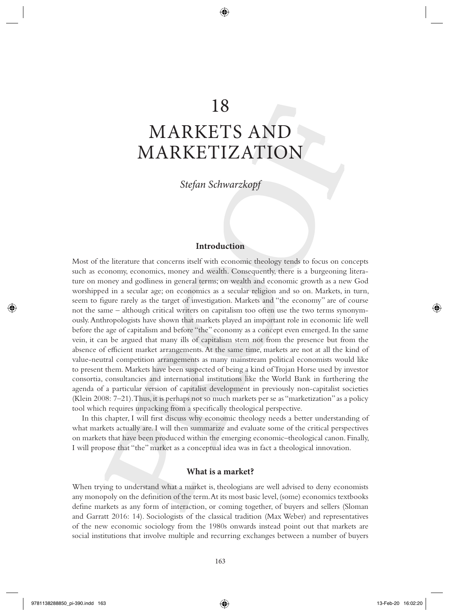❀

# MARKETS AND MARKETIZATION

 *Stefan Schwarzkopf* 

#### **Introduction**

Most of the literature that concerns itself with economic theology tends to focus on concepts such as economy, economics, money and wealth. Consequently, there is a burgeoning literature on money and godliness in general terms; on wealth and economic growth as a new God worshipped in a secular age; on economics as a secular religion and so on. Markets, in turn, seem to figure rarely as the target of investigation. Markets and "the economy" are of course not the same – although critical writers on capitalism too often use the two terms synonymously. Anthropologists have shown that markets played an important role in economic life well before the age of capitalism and before "the" economy as a concept even emerged. In the same vein, it can be argued that many ills of capitalism stem not from the presence but from the absence of efficient market arrangements. At the same time, markets are not at all the kind of value- neutral competition arrangements as many mainstream political economists would like to present them. Markets have been suspected of being a kind of Trojan Horse used by investor consortia, consultancies and international institutions like the World Bank in furthering the agenda of a particular version of capitalist development in previously non- capitalist societies (Klein 2008:  $7-21$ ). Thus, it is perhaps not so much markets per se as "marketization" as a policy tool which requires unpacking from a specifically theological perspective.

In this chapter, I will first discuss why economic theology needs a better understanding of what markets actually are. I will then summarize and evaluate some of the critical perspectives on markets that have been produced within the emerging economic– theological canon. Finally, I will propose that "the" market as a conceptual idea was in fact a theological innovation.

#### **What is a market?**

When trying to understand what a market is, theologians are well advised to deny economists any monopoly on the definition of the term. At its most basic level, (some) economics textbooks define markets as any form of interaction, or coming together, of buyers and sellers (Sloman and Garratt 2016: 14). Sociologists of the classical tradition (Max Weber) and representatives of the new economic sociology from the 1980s onwards instead point out that markets are social institutions that involve multiple and recurring exchanges between a number of buyers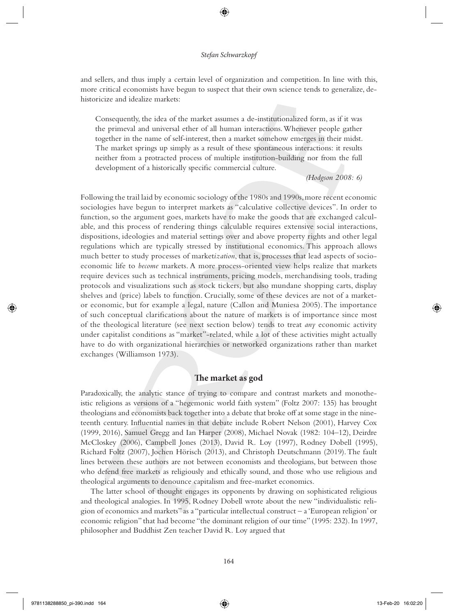❀

and sellers, and thus imply a certain level of organization and competition. In line with this, more critical economists have begun to suspect that their own science tends to generalize, dehistoricize and idealize markets:

Consequently, the idea of the market assumes a de- institutionalized form, as if it was the primeval and universal ether of all human interactions. Whenever people gather together in the name of self- interest, then a market somehow emerges in their midst. The market springs up simply as a result of these spontaneous interactions: it results neither from a protracted process of multiple institution- building nor from the full development of a historically specific commercial culture.

 *(Hodgson 2008 : 6)* 

Following the trail laid by economic sociology of the 1980s and 1990s, more recent economic sociologies have begun to interpret markets as "calculative collective devices". In order to function, so the argument goes, markets have to make the goods that are exchanged calculable, and this process of rendering things calculable requires extensive social interactions, dispositions, ideologies and material settings over and above property rights and other legal regulations which are typically stressed by institutional economics. This approach allows much better to study processes of marketization, that is, processes that lead aspects of socioeconomic life to *become* markets. A more process- oriented view helps realize that markets require devices such as technical instruments, pricing models, merchandising tools, trading protocols and visualizations such as stock tickers, but also mundane shopping carts, display shelves and (price) labels to function. Crucially, some of these devices are not of a marketor economic, but for example a legal, nature (Callon and Muniesa 2005). The importance of such conceptual clarifications about the nature of markets is of importance since most of the theological literature (see next section below) tends to treat *any* economic activity under capitalist conditions as "market"- related, while a lot of these activities might actually have to do with organizational hierarchies or networked organizations rather than market exchanges (Williamson 1973).

### The market as god

Paradoxically, the analytic stance of trying to compare and contrast markets and monotheistic religions as versions of a "hegemonic world faith system" (Foltz 2007: 135) has brought theologians and economists back together into a debate that broke off at some stage in the nineteenth century. Influential names in that debate include Robert Nelson (2001), Harvey Cox (1999, 2016), Samuel Gregg and Ian Harper (2008), Michael Novak (1982: 104-12), Deirdre McCloskey (2006), Campbell Jones (2013), David R. Loy (1997), Rodney Dobell (1995), Richard Foltz (2007), Jochen Hörisch (2013), and Christoph Deutschmann (2019). The fault lines between these authors are not between economists and theologians, but between those who defend free markets as religiously and ethically sound, and those who use religious and theological arguments to denounce capitalism and free-market economics.

The latter school of thought engages its opponents by drawing on sophisticated religious and theological analogies. In 1995, Rodney Dobell wrote about the new "individualistic religion of economics and markets" as a "particular intellectual construct –a 'European religion' or economic religion" that had become "the dominant religion of our time" ( 1995 : 232). In 1997, philosopher and Buddhist Zen teacher David R. Loy argued that

</del>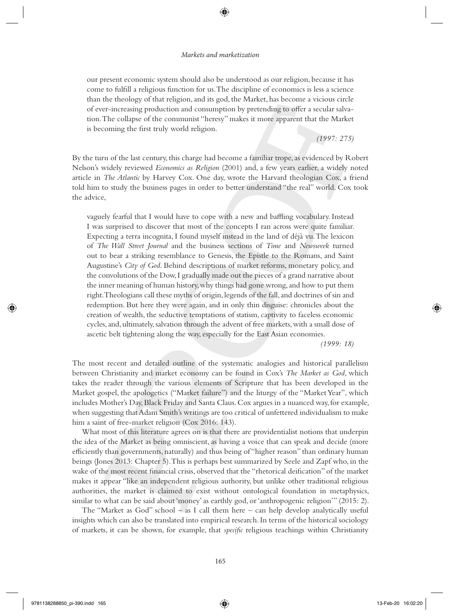#### *Markets and marketization*

❀

our present economic system should also be understood as our religion, because it has come to fulfill a religious function for us. The discipline of economics is less a science than the theology of that religion, and its god, the Market, has become a vicious circle of ever-increasing production and consumption by pretending to offer a secular salvation. The collapse of the communist "heresy" makes it more apparent that the Market is becoming the first truly world religion.

 *( 1997 : 275)* 

By the turn of the last century, this charge had become a familiar trope, as evidenced by Robert Nelson's widely reviewed *Economics as Religion* (2001) and, a few years earlier, a widely noted article in *The Atlantic* by Harvey Cox. One day, wrote the Harvard theologian Cox, a friend told him to study the business pages in order to better understand "the real" world. Cox took the advice,

vaguely fearful that I would have to cope with a new and baffling vocabulary. Instead I was surprised to discover that most of the concepts I ran across were quite familiar. Expecting a terra incognita, I found myself instead in the land of déjà vu. The lexicon of *The Wall Street Journal* and the business sections of *Time* and *Newsweek* turned out to bear a striking resemblance to Genesis, the Epistle to the Romans, and Saint Augustine's *City of God*. Behind descriptions of market reforms, monetary policy, and the convolutions of the Dow, I gradually made out the pieces of a grand narrative about the inner meaning of human history, why things had gone wrong, and how to put them right. Theologians call these myths of origin, legends of the fall, and doctrines of sin and redemption. But here they were again, and in only thin disguise: chronicles about the creation of wealth, the seductive temptations of statism, captivity to faceless economic cycles, and, ultimately, salvation through the advent of free markets, with a small dose of ascetic belt tightening along the way, especially for the East Asian economies.

 *( 1999 : 18)* 

The most recent and detailed outline of the systematic analogies and historical parallelism between Christianity and market economy can be found in Cox's *The Market as God*, which takes the reader through the various elements of Scripture that has been developed in the Market gospel, the apologetics ("Market failure") and the liturgy of the "Market Year", which includes Mother's Day, Black Friday and Santa Claus. Cox argues in a nuanced way, for example, when suggesting that Adam Smith's writings are too critical of unfettered individualism to make him a saint of free-market religion (Cox 2016: 143).

What most of this literature agrees on is that there are providentialist notions that underpin the idea of the Market as being omniscient, as having a voice that can speak and decide (more efficiently than governments, naturally) and thus being of "higher reason" than ordinary human beings (Jones 2013: Chapter 5). This is perhaps best summarized by Seele and Zapf who, in the wake of the most recent financial crisis, observed that the "rhetorical deification" of the market makes it appear "like an independent religious authority, but unlike other traditional religious authorities, the market is claimed to exist without ontological foundation in metaphysics, similar to what can be said about 'money' as earthly god, or 'anthropogenic religion'" (2015: 2).

The "Market as God" school – as I call them here – can help develop analytically useful insights which can also be translated into empirical research. In terms of the historical sociology of markets, it can be shown, for example, that *specifi c* religious teachings within Christianity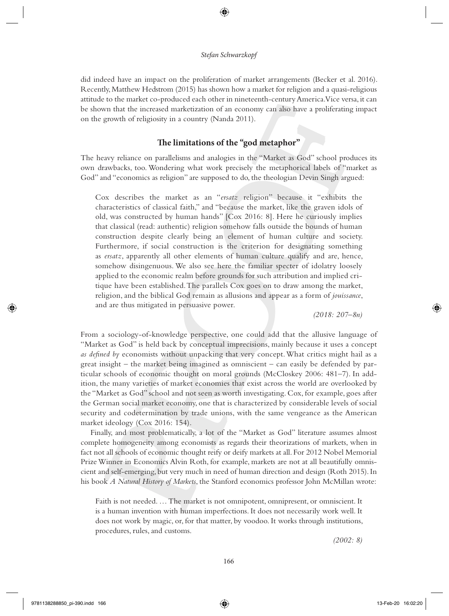❀

did indeed have an impact on the proliferation of market arrangements (Becker et al. 2016). Recently, Matthew Hedstrom (2015) has shown how a market for religion and a quasi-religious attitude to the market co-produced each other in nineteenth-century America. Vice versa, it can be shown that the increased marketization of an economy can also have a proliferating impact on the growth of religiosity in a country (Nanda 2011).

## The limitations of the "god metaphor"

The heavy reliance on parallelisms and analogies in the "Market as God" school produces its own drawbacks, too. Wondering what work precisely the metaphorical labels of "market as God" and "economics as religion" are supposed to do, the theologian Devin Singh argued:

Cox describes the market as an "ersatz religion" because it "exhibits the characteristics of classical faith," and "because the market, like the graven idols of old, was constructed by human hands" [Cox 2016: 8]. Here he curiously implies that classical (read: authentic) religion somehow falls outside the bounds of human construction despite clearly being an element of human culture and society. Furthermore, if social construction is the criterion for designating something as *ersatz*, apparently all other elements of human culture qualify and are, hence, somehow disingenuous. We also see here the familiar specter of idolatry loosely applied to the economic realm before grounds for such attribution and implied critique have been established. The parallels Cox goes on to draw among the market, religion, and the biblical God remain as allusions and appear as a form of *jouissance*, and are thus mitigated in persuasive power.

 *( 2018 : 207– 8n)* 

From a sociology-of-knowledge perspective, one could add that the allusive language of "Market as God" is held back by conceptual imprecisions, mainly because it uses a concept *as defined by* economists without unpacking that very concept. What critics might hail as a great insight – the market being imagined as omniscient – can easily be defended by particular schools of economic thought on moral grounds (McCloskey 2006: 481–7). In addition, the many varieties of market economies that exist across the world are overlooked by the "Market as God" school and not seen as worth investigating. Cox, for example, goes after the German social market economy, one that is characterized by considerable levels of social security and codetermination by trade unions, with the same vengeance as the American market ideology (Cox 2016: 154).

Finally, and most problematically, a lot of the "Market as God" literature assumes almost complete homogeneity among economists as regards their theorizations of markets, when in fact not all schools of economic thought reify or deify markets at all. For 2012 Nobel Memorial Prize Winner in Economics Alvin Roth, for example, markets are not at all beautifully omniscient and self-emerging, but very much in need of human direction and design (Roth 2015). In his book *A Natural History of Markets* , the Stanford economics professor John McMillan wrote:

Faith is not needed. … The market is not omnipotent, omnipresent, or omniscient. It is a human invention with human imperfections. It does not necessarily work well. It does not work by magic, or, for that matter, by voodoo. It works through institutions, procedures, rules, and customs.

 $(2002:8)$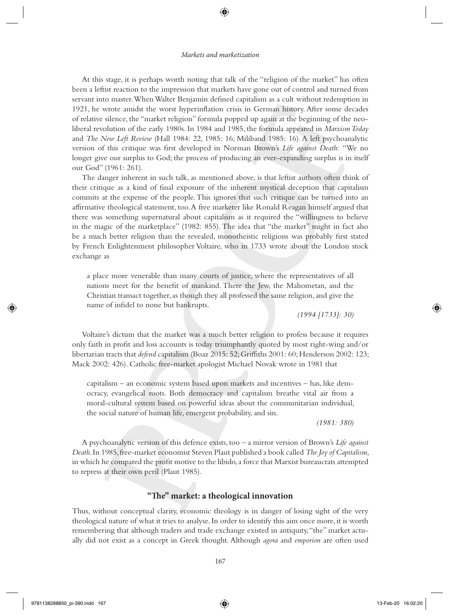#### *Markets and marketization*

❀

At this stage, it is perhaps worth noting that talk of the "religion of the market" has often been a leftist reaction to the impression that markets have gone out of control and turned from servant into master. When Walter Benjamin defined capitalism as a cult without redemption in 1921, he wrote amidst the worst hyperinflation crisis in German history. After some decades of relative silence, the "market religion" formula popped up again at the beginning of the neoliberal revolution of the early 1980s. In 1984 and 1985, the formula appeared in *Marxism Today* and *The New Left Review* (Hall 1984: 22, 1985: 16; Miliband 1985: 16). A left psychoanalytic version of this critique was first developed in Norman Brown's *Life against Death*: "We no longer give our surplus to God; the process of producing an ever-expanding surplus is in itself our God" (1961: 261).

The danger inherent in such talk, as mentioned above, is that leftist authors often think of their critique as a kind of final exposure of the inherent mystical deception that capitalism commits at the expense of the people. This ignores that such critique can be turned into an affirmative theological statement, too. A free marketer like Ronald Reagan himself argued that there was something supernatural about capitalism as it required the "willingness to believe in the magic of the marketplace" (1982: 855). The idea that "the market" might in fact also be a much better religion than the revealed, monotheistic religions was probably first stated by French Enlightenment philosopher Voltaire, who in 1733 wrote about the London stock exchange as

a place more venerable than many courts of justice, where the representatives of all nations meet for the benefit of mankind. There the Jew, the Mahometan, and the Christian transact together, as though they all professed the same religion, and give the name of infidel to none but bankrupts.

 *( 1994 [1733] : 30)* 

Voltaire's dictum that the market was a much better religion to profess because it requires only faith in profit and loss accounts is today triumphantly quoted by most right-wing and/or libertarian tracts that *defend* capitalism (Boaz 2015: 52; Griffiths 2001: 60; Henderson 2002: 123; Mack 2002: 426). Catholic free-market apologist Michael Novak wrote in 1981 that

 $capitalism - an economic system based upon markets and incentives - has, like dem$ ocracy, evangelical roots. Both democracy and capitalism breathe vital air from a moral- cultural system based on powerful ideas about the communitarian individual, the social nature of human life, emergent probability, and sin.

 *( 1981 : 380)* 

A psychoanalytic version of this defence exists, too –a mirror version of Brown's *Life against Death*. In 1985, free- market economist Steven Plaut published a book called *The Joy of Capitalism*, in which he compared the profit motive to the libido, a force that Marxist bureaucrats attempted to repress at their own peril (Plaut 1985).

#### "The" market: a theological innovation

Thus, without conceptual clarity, economic theology is in danger of losing sight of the very theological nature of what it tries to analyse. In order to identify this aim once more, it is worth remembering that although traders and trade exchange existed in antiquity, "the" market actually did not exist as a concept in Greek thought. Although *agora* and *emporion* are often used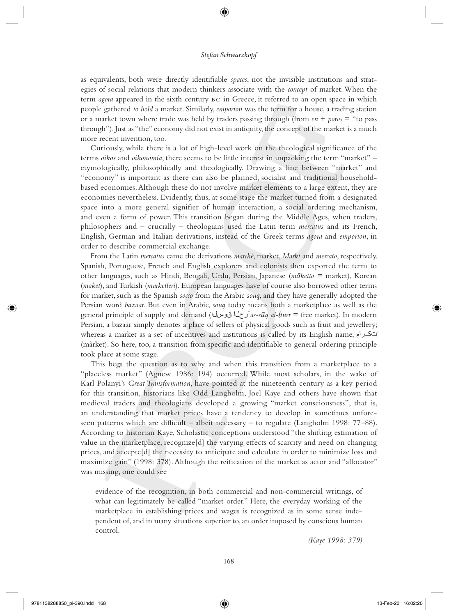❀

as equivalents, both were directly identifiable *spaces*, not the invisible institutions and strategies of social relations that modern thinkers associate with the *concept* of market. When the term *agora* appeared in the sixth century  $BC$  in Greece, it referred to an open space in which people gathered *to hold* a market. Similarly, *emporion* was the term for a house, a trading station or a market town where trade was held by traders passing through (from *en* + *poros* = "to pass through"). Just as "the" economy did not exist in antiquity, the concept of the market is a much more recent invention, too.

Curiously, while there is a lot of high-level work on the theological significance of the terms *oikos* and *oikonomia*, there seems to be little interest in unpacking the term "market" – etymologically, philosophically and theologically. Drawing a line between "market" and "economy" is important as there can also be planned, socialist and traditional householdbased economies. Although these do not involve market elements to a large extent, they are economies nevertheless. Evidently, thus, at some stage the market turned from a designated space into a more general signifier of human interaction, a social ordering mechanism, and even a form of power. This transition began during the Middle Ages, when traders, philosophers and – crucially – theologians used the Latin term *mercatus* and its French, English, German and Italian derivations, instead of the Greek terms *agora* and *emporion*, in order to describe commercial exchange.

From the Latin *mercatus* came the derivations *marché*, market, *Markt* and *mercato*, respectively. Spanish, Portuguese, French and English explorers and colonists then exported the term to other languages, such as Hindi, Bengali, Urdu, Persian, Japanese ( *m ā ketto* = market), Korean ( *maket*), and Turkish ( *marketleri*). European languages have of course also borrowed other terms for market, such as the Spanish *socco* from the Arabic *souq*, and they have generally adopted the Persian word *bazaar*. But even in Arabic, *souq* today means both a marketplace as well as the general principle of supply and demand ( ا ل س و ق ا ل ح ر ّ *as- s ūq al- ḥ urr* = free market). In modern Persian, a bazaar simply denotes a place of sellers of physical goods such as fruit and jewellery; whereas a market as a set of incentives and institutions is called by its English name, المحكولم (mârket). So here, too, a transition from specific and identifiable to general ordering principle took place at some stage.

This begs the question as to why and when this transition from a marketplace to a "placeless market" (Agnew 1986: 194) occurred. While most scholars, in the wake of Karl Polanyi's *Great Transformation*, have pointed at the nineteenth century as a key period for this transition, historians like Odd Langholm, Joel Kaye and others have shown that medieval traders and theologians developed a growing "market consciousness", that is, an understanding that market prices have a tendency to develop in sometimes unforeseen patterns which are difficult – albeit necessary – to regulate (Langholm 1998:  $77-88$ ). According to historian Kaye, Scholastic conceptions understood "the shifting estimation of value in the marketplace, recognize $[d]$  the varying effects of scarcity and need on changing prices, and accepte[d] the necessity to anticipate and calculate in order to minimize loss and maximize gain" (1998: 378). Although the reification of the market as actor and "allocator" was missing, one could see

evidence of the recognition, in both commercial and non-commercial writings, of what can legitimately be called "market order." Here, the everyday working of the marketplace in establishing prices and wages is recognized as in some sense independent of, and in many situations superior to, an order imposed by conscious human control.

 *(Kaye 1998 : 379)* 

</del>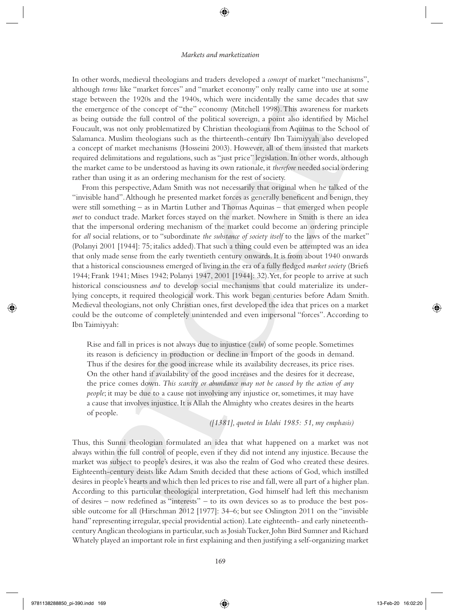# ❀

#### *Markets and marketization*

In other words, medieval theologians and traders developed a *concept* of market "mechanisms", although *terms* like "market forces" and "market economy" only really came into use at some stage between the 1920s and the 1940s, which were incidentally the same decades that saw the emergence of the concept of "the" economy (Mitchell 1998). This awareness for markets as being outside the full control of the political sovereign, a point also identified by Michel Foucault, was not only problematized by Christian theologians from Aquinas to the School of Salamanca. Muslim theologians such as the thirteenth- century Ibn Taimiyyah also developed a concept of market mechanisms (Hosseini 2003 ). However, all of them insisted that markets required delimitations and regulations, such as "just price" legislation. In other words, although the market came to be understood as having its own rationale, it *therefore* needed social ordering rather than using it as an ordering mechanism for the rest of society.

From this perspective, Adam Smith was not necessarily that original when he talked of the "invisible hand". Although he presented market forces as generally beneficent and benign, they were still something – as in Martin Luther and Thomas Aquinas – that emerged when people *met* to conduct trade. Market forces stayed on the market. Nowhere in Smith is there an idea that the impersonal ordering mechanism of the market could become an ordering principle for *all* social relations, or to "subordinate *the substance of society itself* to the laws of the market" (Polanyi 2001 [1944] : 75; italics added). That such a thing could even be attempted was an idea that only made sense from the early twentieth century onwards. It is from about 1940 onwards that a historical consciousness emerged of living in the era of a fully fledged *market society* (Briefs 1944 ; Frank 1941 ; Mises 1942 ; Polanyi 1947 , 2001 [1944] : 32). Yet, for people to arrive at such historical consciousness *and* to develop social mechanisms that could materialize its underlying concepts, it required theological work. This work began centuries before Adam Smith. Medieval theologians, not only Christian ones, first developed the idea that prices on a market could be the outcome of completely unintended and even impersonal "forces". According to Ibn Taimiyyah:

Rise and fall in prices is not always due to injustice ( *zuln*) of some people. Sometimes its reason is deficiency in production or decline in Import of the goods in demand. Thus if the desires for the good increase while its availability decreases, its price rises. On the other hand if availability of the good increases and the desires for it decrease, the price comes down. *This scarcity or abundance may not be caused by the action of any people*; it may be due to a cause not involving any injustice or, sometimes, it may have a cause that involves injustice. It is Allah the Almighty who creates desires in the hearts of people.

#### *([1381], quoted in Islahi 1985 : 51, my emphasis)*

Thus, this Sunni theologian formulated an idea that what happened on a market was not always within the full control of people, even if they did not intend any injustice. Because the market was subject to people's desires, it was also the realm of God who created these desires. Eighteenth- century deists like Adam Smith decided that these actions of God, which instilled desires in people's hearts and which then led prices to rise and fall, were all part of a higher plan. According to this particular theological interpretation, God himself had left this mechanism of desires – now redefined as "interests" – to its own devices so as to produce the best possible outcome for all (Hirschman 2012 [1977]: 34–6; but see Oslington 2011 on the "invisible hand" representing irregular, special providential action). Late eighteenth- and early nineteenthcentury Anglican theologians in particular, such as Josiah Tucker, John Bird Sumner and Richard Whately played an important role in first explaining and then justifying a self-organizing market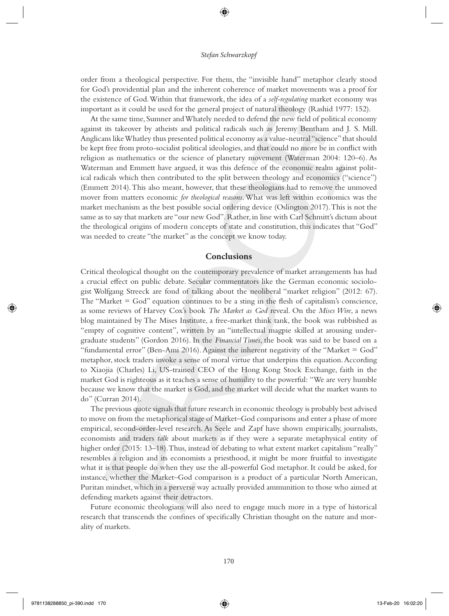◈

order from a theological perspective. For them, the "invisible hand" metaphor clearly stood for God's providential plan and the inherent coherence of market movements was a proof for the existence of God. Within that framework, the idea of a *self- regulating* market economy was important as it could be used for the general project of natural theology (Rashid 1977: 152).

At the same time, Sumner and Whately needed to defend the new field of political economy against its takeover by atheists and political radicals such as Jeremy Bentham and J. S. Mill. Anglicans like Whatley thus presented political economy as a value- neutral "science" that should be kept free from proto-socialist political ideologies, and that could no more be in conflict with religion as mathematics or the science of planetary movement (Waterman  $2004$ : 120–6). As Waterman and Emmett have argued, it was this defence of the economic realm against political radicals which then contributed to the split between theology and economics ("science") (Emmett 2014). This also meant, however, that these theologians had to remove the unmoved mover from matters economic *for theological reasons*. What was left within economics was the market mechanism as the best possible social ordering device (Oslington 2017 ). This is not the same as to say that markets are "our new God". Rather, in line with Carl Schmitt's dictum about the theological origins of modern concepts of state and constitution, this indicates that "God" was needed to create "the market" as the concept we know today.

#### **Conclusions**

Critical theological thought on the contemporary prevalence of market arrangements has had a crucial effect on public debate. Secular commentators like the German economic sociologist Wolfgang Streeck are fond of talking about the neoliberal "market religion" ( 2012 : 67). The "Market  $=$  God" equation continues to be a sting in the flesh of capitalism's conscience, as some reviews of Harvey Cox's book *The Market as God* reveal. On the *Mises Wire*, a news blog maintained by The Mises Institute, a free- market think tank, the book was rubbished as "empty of cognitive content", written by an "intellectual magpie skilled at arousing undergraduate students" (Gordon 2016). In the *Financial Times*, the book was said to be based on a "fundamental error" (Ben-Ami 2016). Against the inherent negativity of the "Market  $=$  God" metaphor, stock traders invoke a sense of moral virtue that underpins this equation. According to Xiaojia (Charles) Li, US- trained CEO of the Hong Kong Stock Exchange, faith in the market God is righteous as it teaches a sense of humility to the powerful: "We are very humble because we know that the market is God, and the market will decide what the market wants to do" (Curran 2014).

The previous quote signals that future research in economic theology is probably best advised to move on from the metaphorical stage of Market– God comparisons and enter a phase of more empirical, second- order- level research. As Seele and Zapf have shown empirically, journalists, economists and traders *talk* about markets as if they were a separate metaphysical entity of higher order (2015: 13–18). Thus, instead of debating to what extent market capitalism "really" resembles a religion and its economists a priesthood, it might be more fruitful to investigate what it is that people do when they use the all-powerful God metaphor. It could be asked, for instance, whether the Market– God comparison is a product of a particular North American, Puritan mindset, which in a perverse way actually provided ammunition to those who aimed at defending markets against their detractors.

Future economic theologians will also need to engage much more in a type of historical research that transcends the confines of specifically Christian thought on the nature and morality of markets.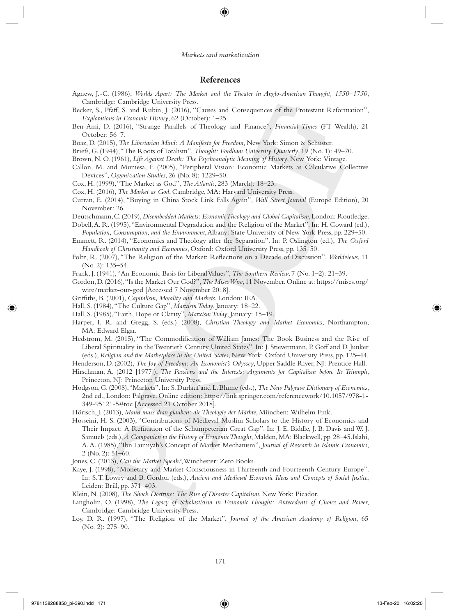#### *Markets and marketization*

❀

#### **References**

- Agnew, J.-C. (1986), *Worlds Apart: The Market and the Theater in Anglo-American Thought, 1550–1750*, Cambridge : Cambridge University Press .
- Becker, S., Pfaff, S. and Rubin, J. (2016), "Causes and Consequences of the Protestant Reformation", *Explorations in Economic History*, 62 (October): 1-25.
- Ben-Ami, D. (2016), "Strange Parallels of Theology and Finance", *Financial Times* (FT Wealth), 21 October: 56-7.

Boaz, D. (2015), *The Libertarian Mind: A Manifesto for Freedom*, New York: Simon & Schuster.

- Briefs, G. (1944), "The Roots of Totalism", *Thought: Fordham University Quarterly*, 19 (No. 1): 49–70.
- Brown, N. O. (1961), *Life Against Death: The Psychoanalytic Meaning of History*, New York: Vintage.
- Callon, M. and Muniesa, F. (2005), "Peripheral Vision: Economic Markets as Calculative Collective Devices", *Organization Studies*, 26 (No. 8): 1229-50.
- Cox, H. (1999), "The Market as God", *The Atlantic*, 283 (March): 18-23.
- Cox, H. (2016), *The Market as God*, Cambridge, MA: Harvard University Press.
- Curran , E.( 2014 ), " Buying in China Stock Link Falls Again ", *Wall Street Journal* (Europe Edition), 20 November: 26 .
- Deutschmann, C. (2019), *Disembedded Markets: Economic Theology and Global Capitalism*, London: Routledge.
- Dobell, A. R. (1995), "Environmental Degradation and the Religion of the Market". In: H. Coward (ed.), *Population, Consumption, and the Environment, Albany: State University of New York Press, pp. 229–50.*
- Emmett, R. (2014), "Economics and Theology after the Separation". In: P. Oslington (ed.), *The Oxford* Handbook of Christianity and Economics, Oxford: Oxford University Press, pp. 135-50.
- Foltz, R. (2007), "The Religion of the Market: Reflections on a Decade of Discussion", *Worldviews*, 11  $(No. 2)$ : 135–54.
- Frank, J. (1941), "An Economic Basis for Liberal Values", *The Southern Review*, 7 (No. 1-2): 21-39.
- Gordon , D.( 2016 ), " Is the Market Our God? ", *The Mises Wire*, 11 November. Online at: https:// mises.org/ wire/market-our-god [Accessed 7 November 2018].
- Griffiths, B. (2001), *Capitalism, Morality and Markets*, London: IEA.
- Hall, S. (1984), "The Culture Gap", *Marxism Today*, January: 18-22.
- Hall, S. (1985), "Faith, Hope or Clarity", Marxism Today, January: 15-19.
- Harper, I. R. and Gregg, S. (eds.) (2008), *Christian Theology and Market Economics*, Northampton, MA: Edward Elgar.
- Hedstrom, M. (2015), "The Commodification of William James: The Book Business and the Rise of Liberal Spirituality in the Twentieth Century United States ". In: J. Stievermann , P. Goff and D. Junker (eds.), *Religion and the Marketplace in the United States*, New York : Oxford University Press , pp. 125 – 44 .

Henderson, D. (2002), *The Joy of Freedom: An Economist's Odyssey*, Upper Saddle River, NJ: Prentice Hall.

- Hirschman, A. (2012 [1977]), *The Passions and the Interests: Arguments for Capitalism before Its Triumph*, Princeton, NJ: Princeton University Press.
- Hodgson , G.( 2008 ), " Markets ". In: S. Durlauf andL. Blume(eds.), *The New Palgrave Dictionary of Economics*, 2nd ed., London: Palgrave. Online edition: https://link.springer.com/referencework/10.1057/978-1-349-95121-5#toc [Accessed 21 October 2018].
- Hörisch, J. (2013), *Mann muss dran glauben: die Theologie der Märkte*, München: Wilhelm Fink.
- Hosseini, H. S. (2003), "Contributions of Medieval Muslim Scholars to the History of Economics and Their Impact: A Refutation of the Schumpeterian Great Gap". In: J. E. Biddle, J. B. Davis and W. J. Samuels (eds.), *A Companion to the History of Economic Thought*, Malden, MA: Blackwell, pp. 28–45. Islahi, A. A.( 1985 ), " Ibn Taimiyah's Concept of Market Mechanism ", *Journal of Research in Islamic Economics*,  $2(No. 2)$ :  $51-60$ .

Jones, C. (2013), *Can the Market Speak?*, Winchester: Zero Books.

- Kaye, J. (1998), "Monetary and Market Consciousness in Thirteenth and Fourteenth Century Europe". In: S. T. Lowry and B. Gordon(eds.), *Ancient and Medieval Economic Ideas and Concepts of Social Justice*, Leiden: Brill, pp. 371-403.
- Klein, N. (2008), *The Shock Doctrine: The Rise of Disaster Capitalism*, New York: Picador.
- Langholm, O. (1998), *The Legacy of Scholasticism in Economic Thought: Antecedents of Choice and Power*, Cambridge : Cambridge University Press .
- Loy, D. R. (1997), "The Religion of the Market", *Journal of the American Academy of Religion*, 65  $(No. 2)$ : 275-90.